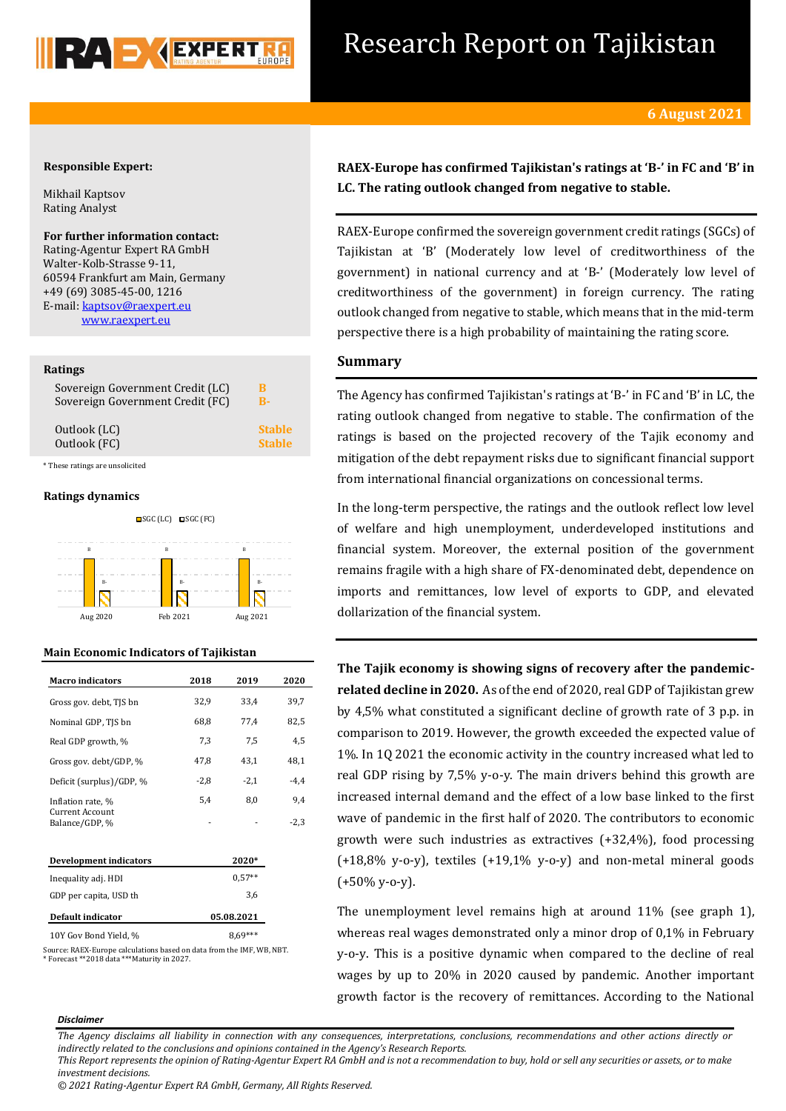

## Research Report on Tajikistan

## **Responsible Expert:**

Mikhail Kaptsov Rating Analyst

**For further information contact:** Rating-Agentur Expert RA GmbH Walter-Kolb-Strasse 9-11, 60594 Frankfurt am Main, Germany +49 (69) 3085-45-00, 1216 E-mail: kaptsov@raexpert.eu [www.raexpert.eu](http://raexpert.eu/)

### **Ratings**

| Sovereign Government Credit (LC) | в             |
|----------------------------------|---------------|
| Sovereign Government Credit (FC) | R-            |
| Outlook (LC)                     | <b>Stable</b> |
| Outlook (FC)                     | <b>Stable</b> |

\* These ratings are unsolicited

## **Ratings dynamics**



## **Main Economic Indicators of Tajikistan**

| <b>Macro indicators</b>                  | 2018       | 2019     | 2020   |
|------------------------------------------|------------|----------|--------|
| Gross gov. debt, TJS bn                  | 32,9       | 33,4     | 39,7   |
| Nominal GDP, TJS bn                      | 68,8       | 77,4     | 82,5   |
| Real GDP growth, %                       | 7,3        | 7,5      | 4,5    |
| Gross gov. debt/GDP, %                   | 47,8       | 43,1     | 48,1   |
| Deficit (surplus)/GDP, %                 | $-2,8$     | $-2,1$   | $-4,4$ |
| Inflation rate, %                        | 5,4        | 8,0      | 9,4    |
| <b>Current Account</b><br>Balance/GDP, % |            |          | $-2,3$ |
|                                          |            |          |        |
| <b>Development indicators</b>            |            | 2020*    |        |
| Inequality adj. HDI                      |            | $0.57**$ |        |
| GDP per capita, USD th                   |            | 3,6      |        |
| Default indicator                        | 05.08.2021 |          |        |
| 10Y Gov Bond Yield, %                    |            |          |        |

Source: RAEX-Europe calculations based on data from the IME, WB, NBT. \* Forecast \*\*2018 data \*\*\*Maturity in 2027.

**RAEX-Europe has confirmed Tajikistan's ratings at 'B-' in FC and 'B' in LC. The rating outlook changed from negative to stable.**

RAEX-Europe confirmed the sovereign government credit ratings (SGCs) of Tajikistan at 'B' (Moderately low level of creditworthiness of the government) in national currency and at 'B-' (Moderately low level of creditworthiness of the government) in foreign currency. The rating outlook changed from negative to stable, which means that in the mid-term perspective there is a high probability of maintaining the rating score.

## **Summary**

The Agency has confirmed Tajikistan's ratings at 'B-' in FC and 'B' in LC, the rating outlook changed from negative to stable. The confirmation of the ratings is based on the projected recovery of the Tajik economy and mitigation of the debt repayment risks due to significant financial support from international financial organizations on concessional terms.

In the long-term perspective, the ratings and the outlook reflect low level of welfare and high unemployment, underdeveloped institutions and financial system. Moreover, the external position of the government remains fragile with a high share of FX-denominated debt, dependence on imports and remittances, low level of exports to GDP, and elevated dollarization of the financial system.

**The Tajik economy is showing signs of recovery after the pandemicrelated decline in 2020.** As of the end of 2020, real GDP of Tajikistan grew by 4,5% what constituted a significant decline of growth rate of 3 p.p. in comparison to 2019. However, the growth exceeded the expected value of 1%. In 1Q 2021 the economic activity in the country increased what led to real GDP rising by 7,5% y-o-y. The main drivers behind this growth are increased internal demand and the effect of a low base linked to the first wave of pandemic in the first half of 2020. The contributors to economic growth were such industries as extractives (+32,4%), food processing  $(+18,8\%$  y-o-y), textiles  $(+19,1\%$  y-o-y) and non-metal mineral goods  $(+50\%$  y-o-y).

The unemployment level remains high at around 11% (see graph 1), whereas real wages demonstrated only a minor drop of 0,1% in February y-o-y. This is a positive dynamic when compared to the decline of real wages by up to 20% in 2020 caused by pandemic. Another important growth factor is the recovery of remittances. According to the National

#### *Disclaimer*

*The Agency disclaims all liability in connection with any consequences, interpretations, conclusions, recommendations and other actions directly or indirectly related to the conclusions and opinions contained in the Agency's Research Reports. This Report represents the opinion of Rating-Agentur Expert RA GmbH and is not a recommendation to buy, hold or sell any securities or assets, or to make* 

*© 2021 Rating-Agentur Expert RA GmbH, Germany, All Rights Reserved.*

*investment decisions.*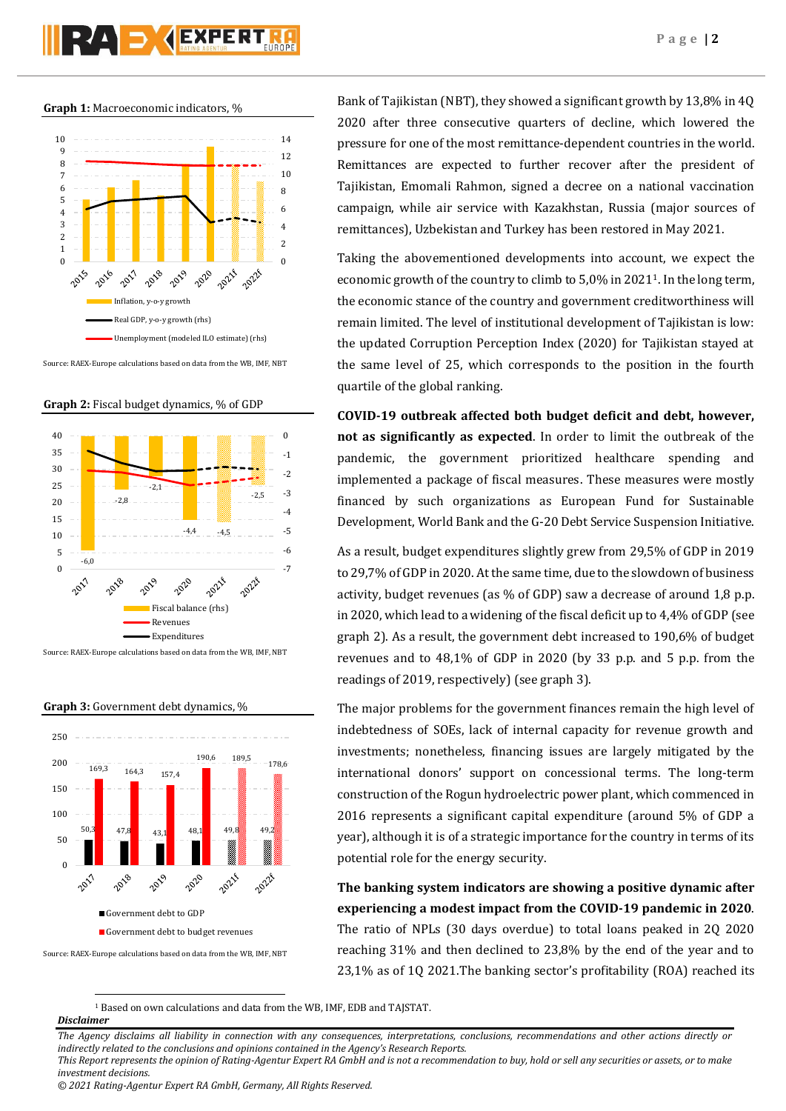# **PZA D 4EXPERT**

**Graph 1:** Macroeconomic indicators, %



Source: RAEX-Europe calculations based on data from the WB, IMF, NBT



**Graph 2:** Fiscal budget dynamics, % of GDP

Source: RAEX-Europe calculations based on data from the WB, IMF, NBT

**Graph 3:** Government debt dynamics, %



Source: RAEX-Europe calculations based on data from the WB, IMF, NBT

Bank of Tajikistan (NBT), they showed a significant growth by 13,8% in 4Q 2020 after three consecutive quarters of decline, which lowered the pressure for one of the most remittance-dependent countries in the world. Remittances are expected to further recover after the president of Tajikistan, Emomali Rahmon, signed a decree on a national vaccination campaign, while air service with Kazakhstan, Russia (major sources of remittances), Uzbekistan and Turkey has been restored in May 2021.

Taking the abovementioned developments into account, we expect the economic growth of the country to climb to 5,0% in 20211. In the long term, the economic stance of the country and government creditworthiness will remain limited. The level of institutional development of Tajikistan is low: the updated Corruption Perception Index (2020) for Tajikistan stayed at the same level of 25, which corresponds to the position in the fourth quartile of the global ranking.

**COVID-19 outbreak affected both budget deficit and debt, however, not as significantly as expected**. In order to limit the outbreak of the pandemic, the government prioritized healthcare spending and implemented a package of fiscal measures. These measures were mostly financed by such organizations as European Fund for Sustainable Development, World Bank and the G-20 Debt Service Suspension Initiative.

As a result, budget expenditures slightly grew from 29,5% of GDP in 2019 to 29,7% of GDP in 2020. At the same time, due to the slowdown of business activity, budget revenues (as % of GDP) saw a decrease of around 1,8 p.p. in 2020, which lead to a widening of the fiscal deficit up to 4,4% of GDP (see graph 2). As a result, the government debt increased to 190,6% of budget revenues and to 48,1% of GDP in 2020 (by 33 p.p. and 5 p.p. from the readings of 2019, respectively) (see graph 3).

The major problems for the government finances remain the high level of indebtedness of SOEs, lack of internal capacity for revenue growth and investments; nonetheless, financing issues are largely mitigated by the international donors' support on concessional terms. The long-term construction of the Rogun hydroelectric power plant, which commenced in 2016 represents a significant capital expenditure (around 5% of GDP a year), although it is of a strategic importance for the country in terms of its potential role for the energy security.

**The banking system indicators are showing a positive dynamic after experiencing a modest impact from the COVID-19 pandemic in 2020**. The ratio of NPLs (30 days overdue) to total loans peaked in 2Q 2020 reaching 31% and then declined to 23,8% by the end of the year and to 23,1% as of 1Q 2021.The banking sector's profitability (ROA) reached its

## *Disclaimer*

**.** 

<sup>1</sup> Based on own calculations and data from the WB, IMF, EDB and TAJSTAT.

*This Report represents the opinion of Rating-Agentur Expert RA GmbH and is not a recommendation to buy, hold or sell any securities or assets, or to make investment decisions.*

*<sup>© 2021</sup> Rating-Agentur Expert RA GmbH, Germany, All Rights Reserved.*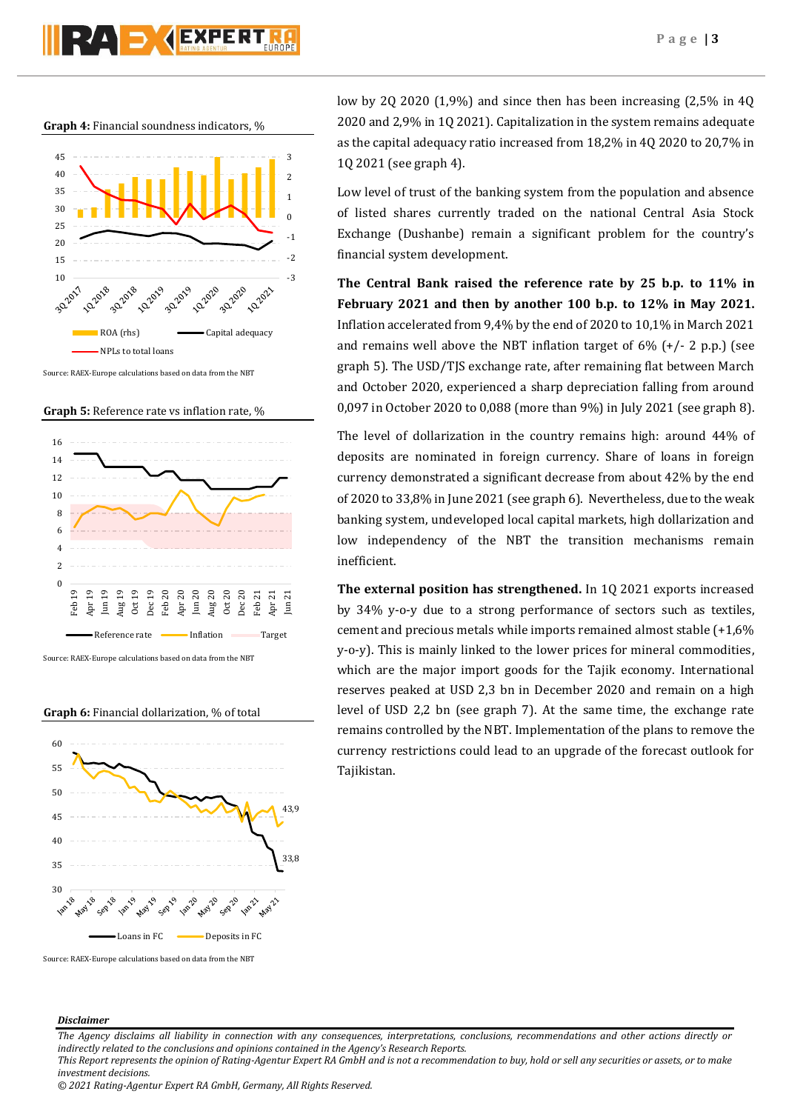

**Graph 4:** Financial soundness indicators, %



Source: RAEX-Europe calculations based on data from the NBT





Source: RAEX-Europe calculations based on data from the NBT



Loans in FC **Deposits** in FC



Source: RAEX-Europe calculations based on data from the NBT

low by 2Q 2020 (1,9%) and since then has been increasing (2,5% in 4Q 2020 and 2,9% in 1Q 2021). Capitalization in the system remains adequate as the capital adequacy ratio increased from 18,2% in 4Q 2020 to 20,7% in 1Q 2021 (see graph 4).

Low level of trust of the banking system from the population and absence of listed shares currently traded on the national Central Asia Stock Exchange (Dushanbe) remain a significant problem for the country's financial system development.

**The Central Bank raised the reference rate by 25 b.p. to 11% in February 2021 and then by another 100 b.p. to 12% in May 2021.** Inflation accelerated from 9,4% by the end of 2020 to 10,1% in March 2021 and remains well above the NBT inflation target of  $6\%$   $(+/- 2 \text{ p.p.})$  (see graph 5). The USD/TJS exchange rate, after remaining flat between March and October 2020, experienced a sharp depreciation falling from around 0,097 in October 2020 to 0,088 (more than 9%) in July 2021 (see graph 8).

The level of dollarization in the country remains high: around 44% of deposits are nominated in foreign currency. Share of loans in foreign currency demonstrated a significant decrease from about 42% by the end of 2020 to 33,8% in June 2021 (see graph 6). Nevertheless, due to the weak banking system, undeveloped local capital markets, high dollarization and low independency of the NBT the transition mechanisms remain inefficient.

**The external position has strengthened.** In 1Q 2021 exports increased by 34% y-o-y due to a strong performance of sectors such as textiles, cement and precious metals while imports remained almost stable (+1,6% y-o-y). This is mainly linked to the lower prices for mineral commodities, which are the major import goods for the Tajik economy. International reserves peaked at USD 2,3 bn in December 2020 and remain on a high level of USD 2,2 bn (see graph 7). At the same time, the exchange rate remains controlled by the NBT. Implementation of the plans to remove the currency restrictions could lead to an upgrade of the forecast outlook for Tajikistan.

### *Disclaimer*

*investment decisions.*

*The Agency disclaims all liability in connection with any consequences, interpretations, conclusions, recommendations and other actions directly or indirectly related to the conclusions and opinions contained in the Agency's Research Reports. This Report represents the opinion of Rating-Agentur Expert RA GmbH and is not a recommendation to buy, hold or sell any securities or assets, or to make* 

*<sup>© 2021</sup> Rating-Agentur Expert RA GmbH, Germany, All Rights Reserved.*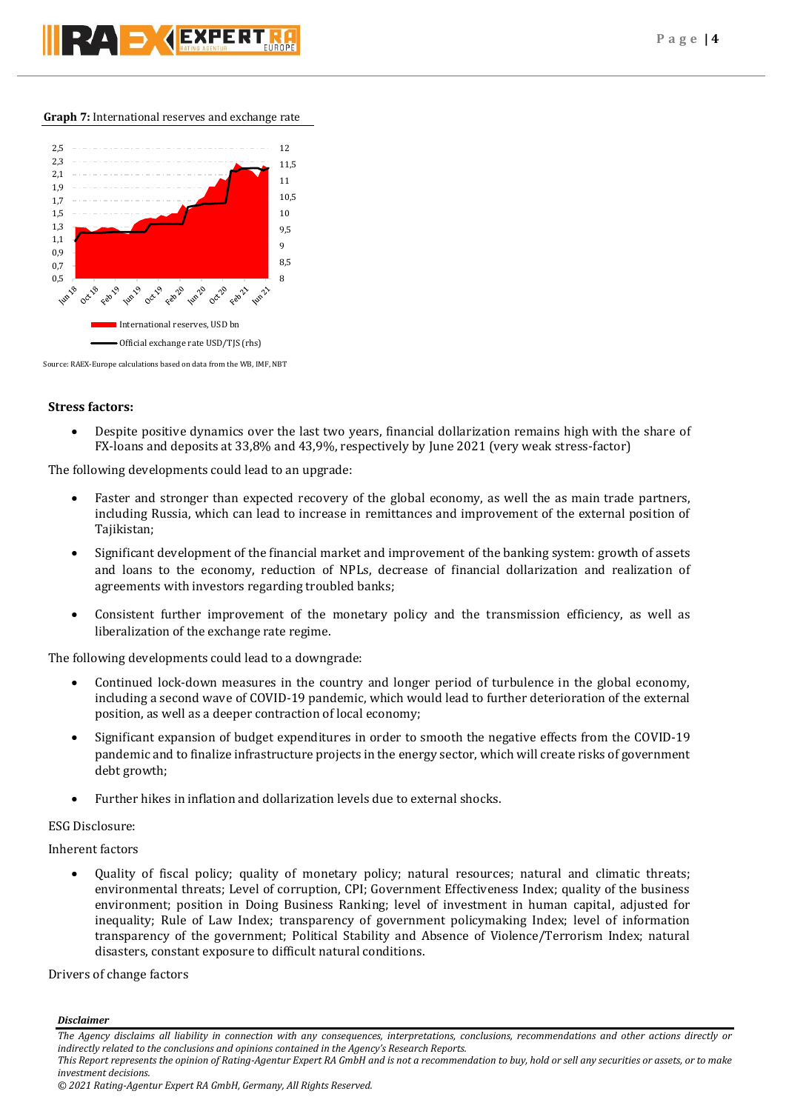## **Graph 7:** International reserves and exchange rate



Source: RAEX-Europe calculations based on data from the WB, IMF, NBT

## **Stress factors:**

 Despite positive dynamics over the last two years, financial dollarization remains high with the share of FX-loans and deposits at 33,8% and 43,9%, respectively by June 2021 (very weak stress-factor)

The following developments could lead to an upgrade:

- Faster and stronger than expected recovery of the global economy, as well the as main trade partners, including Russia, which can lead to increase in remittances and improvement of the external position of Tajikistan;
- Significant development of the financial market and improvement of the banking system: growth of assets and loans to the economy, reduction of NPLs, decrease of financial dollarization and realization of agreements with investors regarding troubled banks;
- Consistent further improvement of the monetary policy and the transmission efficiency, as well as liberalization of the exchange rate regime.

The following developments could lead to a downgrade:

- Continued lock-down measures in the country and longer period of turbulence in the global economy, including a second wave of COVID-19 pandemic, which would lead to further deterioration of the external position, as well as a deeper contraction of local economy;
- Significant expansion of budget expenditures in order to smooth the negative effects from the COVID-19 pandemic and to finalize infrastructure projects in the energy sector, which will create risks of government debt growth;
- Further hikes in inflation and dollarization levels due to external shocks.

## ESG Disclosure:

## Inherent factors

 Quality of fiscal policy; quality of monetary policy; natural resources; natural and climatic threats; environmental threats; Level of corruption, CPI; Government Effectiveness Index; quality of the business environment; position in Doing Business Ranking; level of investment in human capital, adjusted for inequality; Rule of Law Index; transparency of government policymaking Index; level of information transparency of the government; Political Stability and Absence of Violence/Terrorism Index; natural disasters, constant exposure to difficult natural conditions.

## Drivers of change factors

*Disclaimer* 

*The Agency disclaims all liability in connection with any consequences, interpretations, conclusions, recommendations and other actions directly or indirectly related to the conclusions and opinions contained in the Agency's Research Reports.*

*This Report represents the opinion of Rating-Agentur Expert RA GmbH and is not a recommendation to buy, hold or sell any securities or assets, or to make investment decisions.*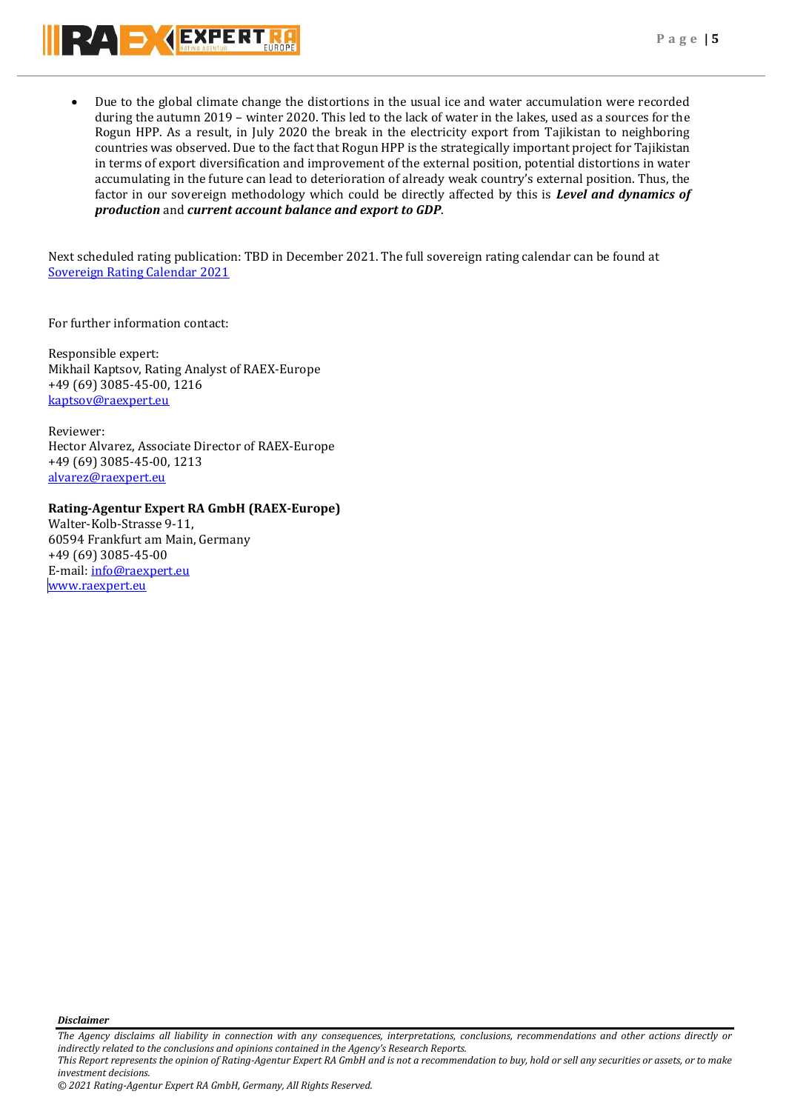Due to the global climate change the distortions in the usual ice and water accumulation were recorded during the autumn 2019 – winter 2020. This led to the lack of water in the lakes, used as a sources for the Rogun HPP. As a result, in July 2020 the break in the electricity export from Tajikistan to neighboring countries was observed. Due to the fact that Rogun HPP is the strategically important project for Tajikistan in terms of export diversification and improvement of the external position, potential distortions in water accumulating in the future can lead to deterioration of already weak country's external position. Thus, the factor in our sovereign methodology which could be directly affected by this is *Level and dynamics of production* and *current account balance and export to GDP*.

Next scheduled rating publication: TBD in December 2021. The full sovereign rating calendar can be found at [Sovereign Rating Calendar 2021](https://raexpert.eu/sovereign/#conf-tab-5)

For further information contact:

Responsible expert: Mikhail Kaptsov, Rating Analyst of RAEX-Europe +49 (69) 3085-45-00, 1216 [kaptsov@raexpert.eu](mailto:kaptsov@raexpert.eu)

Reviewer: Hector Alvarez, Associate Director of RAEX-Europe +49 (69) 3085-45-00, 1213 [alvarez@raexpert.eu](mailto:alvarez@raexpert.eu)

## **Rating-Agentur Expert RA GmbH (RAEX-Europe)**

Walter-Kolb-Strasse 9-11, 60594 Frankfurt am Main, Germany +49 (69) 3085-45-00 E-mail[: info@raexpert.eu](mailto:info@raexpert.eu) [www.raexpert.eu](http://www.raexpert.eu/)

*Disclaimer* 

*This Report represents the opinion of Rating-Agentur Expert RA GmbH and is not a recommendation to buy, hold or sell any securities or assets, or to make investment decisions.*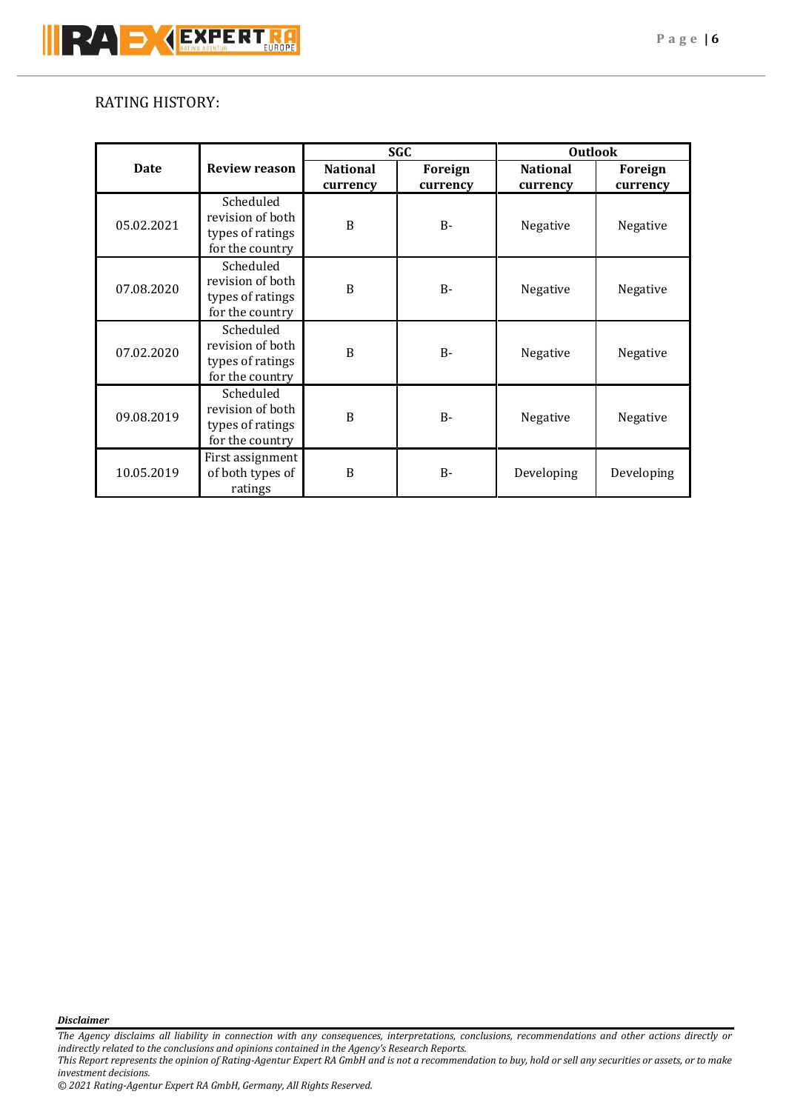## RATING HISTORY:

|             |                                                                      | <b>SGC</b>                  |                     | <b>Outlook</b>              |                     |
|-------------|----------------------------------------------------------------------|-----------------------------|---------------------|-----------------------------|---------------------|
| <b>Date</b> | <b>Review reason</b>                                                 | <b>National</b><br>currency | Foreign<br>currency | <b>National</b><br>currency | Foreign<br>currency |
| 05.02.2021  | Scheduled<br>revision of both<br>types of ratings<br>for the country | B                           | $B -$               | Negative                    | Negative            |
| 07.08.2020  | Scheduled<br>revision of both<br>types of ratings<br>for the country | B                           | $B -$               | Negative                    | Negative            |
| 07.02.2020  | Scheduled<br>revision of both<br>types of ratings<br>for the country | B                           | $B -$               | Negative                    | Negative            |
| 09.08.2019  | Scheduled<br>revision of both<br>types of ratings<br>for the country | B                           | $B -$               | Negative                    | Negative            |
| 10.05.2019  | First assignment<br>of both types of<br>ratings                      | B                           | $B -$               | Developing                  | Developing          |

*Disclaimer* 

*This Report represents the opinion of Rating-Agentur Expert RA GmbH and is not a recommendation to buy, hold or sell any securities or assets, or to make investment decisions.*